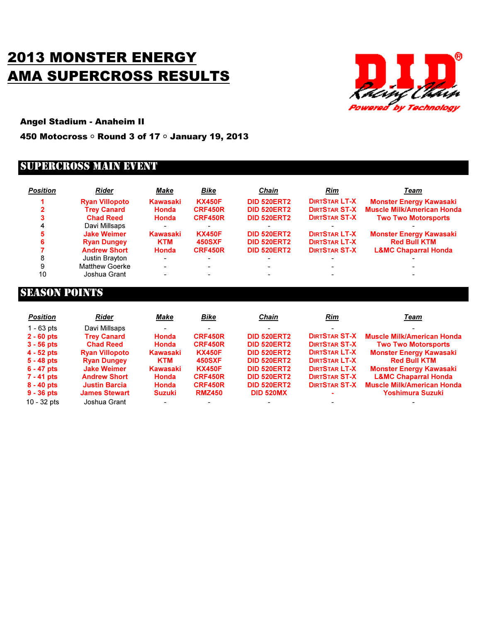## 2013 MONSTER ENERGY AMA SUPERCROSS RESULTS



Angel Stadium - Anaheim II

450 Motocross ○ Round 3 of 17 ○ January 19, 2013

## SUPERCROSS MAIN EVENT

| <b>Position</b> | Rider                 | Make            | Bike           | <b>Chain</b>       | Rim                  | Team                              |
|-----------------|-----------------------|-----------------|----------------|--------------------|----------------------|-----------------------------------|
|                 | <b>Ryan Villopoto</b> | Kawasaki        | <b>KX450F</b>  | <b>DID 520ERT2</b> | <b>DIRTSTAR LT-X</b> | <b>Monster Energy Kawasaki</b>    |
|                 | <b>Trey Canard</b>    | Honda           | CRF450R        | <b>DID 520ERT2</b> | <b>DIRTSTAR ST-X</b> | <b>Muscle Milk/American Honda</b> |
|                 | <b>Chad Reed</b>      | Honda           | <b>CRF450R</b> | <b>DID 520ERT2</b> | <b>DIRTSTAR ST-X</b> | <b>Two Two Motorsports</b>        |
|                 | Davi Millsaps         |                 |                |                    |                      |                                   |
|                 | <b>Jake Weimer</b>    | <b>Kawasaki</b> | <b>KX450F</b>  | <b>DID 520ERT2</b> | <b>DIRTSTAR LT-X</b> | <b>Monster Energy Kawasaki</b>    |
|                 | <b>Ryan Dungey</b>    | <b>KTM</b>      | <b>450SXF</b>  | <b>DID 520ERT2</b> | <b>DIRTSTAR LT-X</b> | <b>Red Bull KTM</b>               |
|                 | <b>Andrew Short</b>   | Honda           | <b>CRF450R</b> | <b>DID 520ERT2</b> | <b>DIRTSTAR ST-X</b> | <b>L&amp;MC Chaparral Honda</b>   |
| 8               | Justin Brayton        |                 |                |                    |                      |                                   |
| 9               | <b>Matthew Goerke</b> |                 |                |                    |                      |                                   |
| 10              | Joshua Grant          |                 |                |                    |                      |                                   |

## SEASON POINTS

| <b>Position</b> | Rider                 | Make          | Bike           | <b>Chain</b>       | Rim                  | Team                              |
|-----------------|-----------------------|---------------|----------------|--------------------|----------------------|-----------------------------------|
| $1 - 63$ pts    | Davi Millsaps         |               |                |                    |                      |                                   |
| $2 - 60$ pts    | <b>Trey Canard</b>    | <b>Honda</b>  | <b>CRF450R</b> | <b>DID 520ERT2</b> | <b>DIRTSTAR ST-X</b> | <b>Muscle Milk/American Honda</b> |
| $3 - 56$ pts    | <b>Chad Reed</b>      | Honda         | <b>CRF450R</b> | <b>DID 520ERT2</b> | <b>DIRTSTAR ST-X</b> | <b>Two Two Motorsports</b>        |
| $4 - 52$ pts    | <b>Ryan Villopoto</b> | Kawasaki      | <b>KX450F</b>  | <b>DID 520ERT2</b> | <b>DIRTSTAR LT-X</b> | <b>Monster Energy Kawasaki</b>    |
| $5 - 48$ pts    | <b>Ryan Dungey</b>    | <b>KTM</b>    | <b>450SXF</b>  | <b>DID 520ERT2</b> | <b>DIRTSTAR LT-X</b> | <b>Red Bull KTM</b>               |
| $6 - 47$ pts    | <b>Jake Weimer</b>    | Kawasaki      | <b>KX450F</b>  | <b>DID 520ERT2</b> | <b>DIRTSTAR LT-X</b> | <b>Monster Energy Kawasaki</b>    |
| $7 - 41$ pts    | <b>Andrew Short</b>   | Honda         | <b>CRF450R</b> | <b>DID 520ERT2</b> | <b>DIRTSTAR ST-X</b> | <b>L&amp;MC Chaparral Honda</b>   |
| $8 - 40$ pts    | <b>Justin Barcia</b>  | Honda         | <b>CRF450R</b> | <b>DID 520ERT2</b> | <b>DIRTSTAR ST-X</b> | <b>Muscle Milk/American Honda</b> |
| $9 - 36$ pts    | <b>James Stewart</b>  | <b>Suzuki</b> | <b>RMZ450</b>  | <b>DID 520MX</b>   |                      | Yoshimura Suzuki                  |
| $10 - 32$ pts   | Joshua Grant          |               |                |                    |                      |                                   |